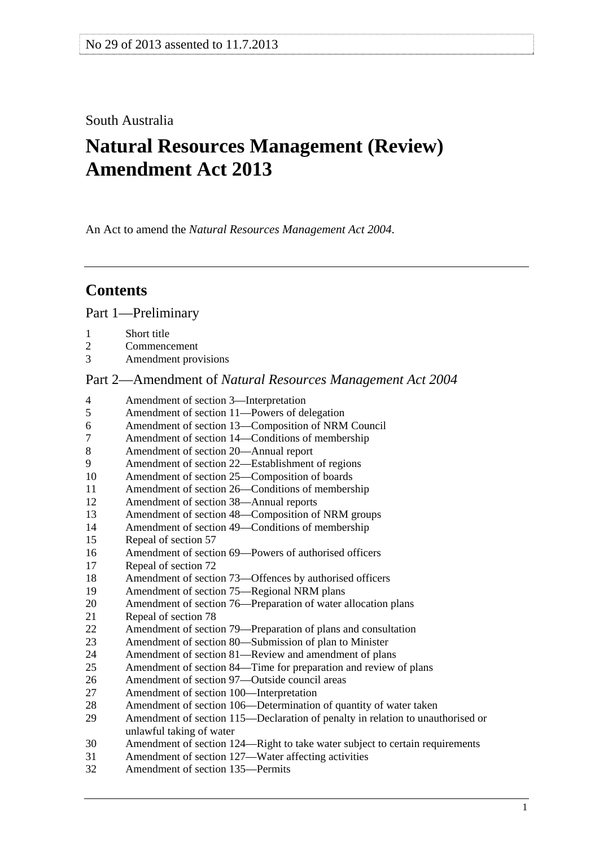## South Australia

# **Natural Resources Management (Review) Amendment Act 2013**

An Act to amend the *[Natural Resources Management Act 2004](http://www.legislation.sa.gov.au/index.aspx?action=legref&type=act&legtitle=Natural%20Resources%20Management%20Act%202004)*.

## **Contents**

[Part 1—Preliminary](#page-1-0)

- [1 Short title](#page-1-0)
- [2 Commencement](#page-1-0)
- [3 Amendment provisions](#page-1-0)

## Part 2—Amendment of *[Natural Resources Management Act 2004](#page-1-0)*

| 4  | Amendment of section 3-Interpretation                                          |
|----|--------------------------------------------------------------------------------|
| 5  | Amendment of section 11-Powers of delegation                                   |
| 6  | Amendment of section 13-Composition of NRM Council                             |
| 7  | Amendment of section 14—Conditions of membership                               |
| 8  | Amendment of section 20-Annual report                                          |
| 9  | Amendment of section 22-Establishment of regions                               |
| 10 | Amendment of section 25-Composition of boards                                  |
| 11 | Amendment of section 26—Conditions of membership                               |
| 12 | Amendment of section 38-Annual reports                                         |
| 13 | Amendment of section 48—Composition of NRM groups                              |
| 14 | Amendment of section 49-Conditions of membership                               |
| 15 | Repeal of section 57                                                           |
| 16 | Amendment of section 69—Powers of authorised officers                          |
| 17 | Repeal of section 72                                                           |
| 18 | Amendment of section 73—Offences by authorised officers                        |
| 19 | Amendment of section 75—Regional NRM plans                                     |
| 20 | Amendment of section 76—Preparation of water allocation plans                  |
| 21 | Repeal of section 78                                                           |
| 22 | Amendment of section 79—Preparation of plans and consultation                  |
| 23 | Amendment of section 80-Submission of plan to Minister                         |
| 24 | Amendment of section 81—Review and amendment of plans                          |
| 25 | Amendment of section 84—Time for preparation and review of plans               |
| 26 | Amendment of section 97—Outside council areas                                  |
| 27 | Amendment of section 100-Interpretation                                        |
| 28 | Amendment of section 106—Determination of quantity of water taken              |
| 29 | Amendment of section 115—Declaration of penalty in relation to unauthorised or |
|    | unlawful taking of water                                                       |
| 30 | Amendment of section 124—Right to take water subject to certain requirements   |
| 31 | Amendment of section 127-Water affecting activities                            |
| 32 | Amendment of section 135-Permits                                               |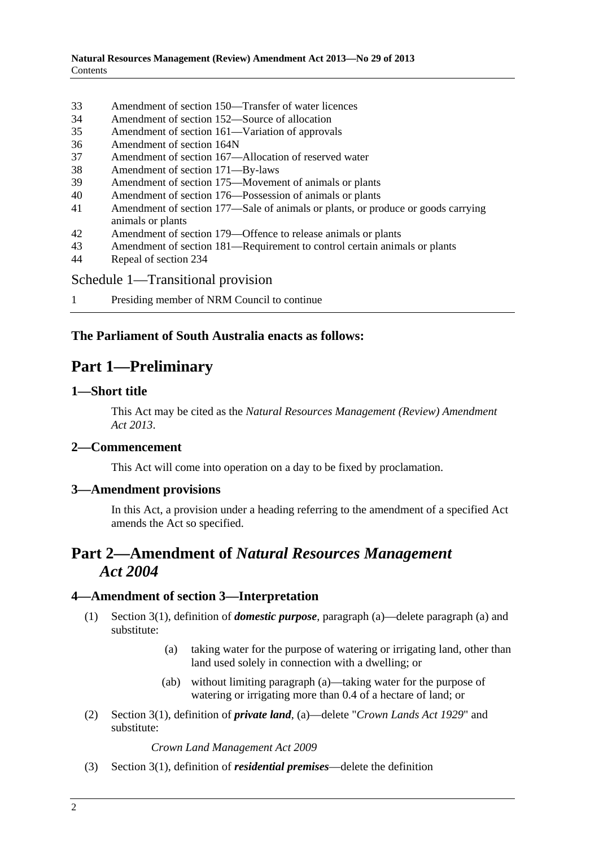- <span id="page-1-0"></span>[33 Amendment of section 150—Transfer of water licences](#page-10-0)
- [34 Amendment of section 152—Source of allocation](#page-10-0)
- [35 Amendment of section 161—Variation of approvals](#page-11-0)
- [36 Amendment of section 164N](#page-11-0)
- [37 Amendment of section 167—Allocation of reserved water](#page-11-0)
- [38 Amendment of section 171—By-laws](#page-11-0)
- [39 Amendment of section 175—Movement of animals or plants](#page-11-0)
- [40 Amendment of section 176—Possession of animals or plants](#page-12-0)
- [41 Amendment of section 177—Sale of animals or plants, or produce or goods carrying](#page-12-0)  [animals or plants](#page-12-0)
- [42 Amendment of section 179—Offence to release animals or plants](#page-12-0)
- [43 Amendment of section 181—Requirement to control certain animals or plants](#page-13-0)
- [44 Repeal of section 234](#page-13-0)

## [Schedule 1—Transitional provision](#page-14-0)

[1 Presiding member of NRM Council to continue](#page-14-0)

## **The Parliament of South Australia enacts as follows:**

## **Part 1—Preliminary**

## **1—Short title**

This Act may be cited as the *Natural Resources Management (Review) Amendment Act 2013*.

## **2—Commencement**

This Act will come into operation on a day to be fixed by proclamation.

## **3—Amendment provisions**

In this Act, a provision under a heading referring to the amendment of a specified Act amends the Act so specified.

## **Part 2—Amendment of** *Natural Resources Management Act 2004*

## **4—Amendment of section 3—Interpretation**

- (1) Section 3(1), definition of *domestic purpose*, paragraph (a)—delete paragraph (a) and substitute:
	- (a) taking water for the purpose of watering or irrigating land, other than land used solely in connection with a dwelling; or
	- (ab) without limiting paragraph (a)—taking water for the purpose of watering or irrigating more than 0.4 of a hectare of land; or
- (2) Section 3(1), definition of *private land*, (a)—delete "*[Crown Lands Act 1929](http://www.legislation.sa.gov.au/index.aspx?action=legref&type=act&legtitle=Crown%20Lands%20Act%201929)*" and substitute:

*[Crown Land Management Act 2009](http://www.legislation.sa.gov.au/index.aspx?action=legref&type=act&legtitle=Crown%20Land%20Management%20Act%202009)*

(3) Section 3(1), definition of *residential premises*—delete the definition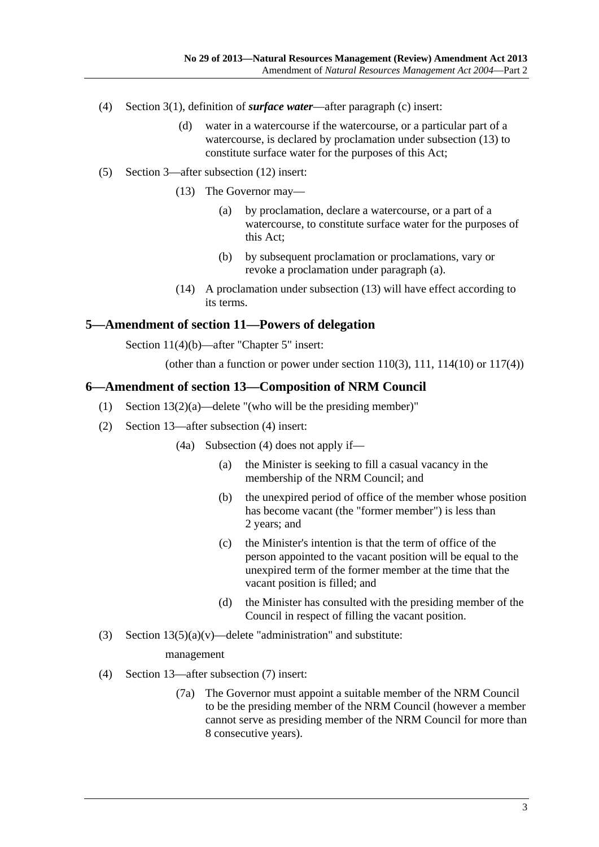- <span id="page-2-0"></span> (4) Section 3(1), definition of *surface water*—after paragraph (c) insert:
	- (d) water in a watercourse if the watercourse, or a particular part of a watercourse, is declared by proclamation under subsection (13) to constitute surface water for the purposes of this Act;
- (5) Section 3—after subsection (12) insert:
	- (13) The Governor may—
		- (a) by proclamation, declare a watercourse, or a part of a watercourse, to constitute surface water for the purposes of this Act;
		- (b) by subsequent proclamation or proclamations, vary or revoke a proclamation under [paragraph \(a\)](#page-2-0).
	- (14) A proclamation under [subsection \(13\)](#page-2-0) will have effect according to its terms.

#### **5—Amendment of section 11—Powers of delegation**

Section 11(4)(b)—after "Chapter 5" insert:

(other than a function or power under section  $110(3)$ ,  $111$ ,  $114(10)$  or  $117(4)$ )

#### **6—Amendment of section 13—Composition of NRM Council**

- (1) Section 13(2)(a)—delete "(who will be the presiding member)"
- (2) Section 13—after subsection (4) insert:
	- (4a) Subsection (4) does not apply if—
		- (a) the Minister is seeking to fill a casual vacancy in the membership of the NRM Council; and
		- (b) the unexpired period of office of the member whose position has become vacant (the "former member") is less than 2 years; and
		- (c) the Minister's intention is that the term of office of the person appointed to the vacant position will be equal to the unexpired term of the former member at the time that the vacant position is filled; and
		- (d) the Minister has consulted with the presiding member of the Council in respect of filling the vacant position.
- (3) Section  $13(5)(a)(v)$ —delete "administration" and substitute:

#### management

- (4) Section 13—after subsection (7) insert:
	- (7a) The Governor must appoint a suitable member of the NRM Council to be the presiding member of the NRM Council (however a member cannot serve as presiding member of the NRM Council for more than 8 consecutive years).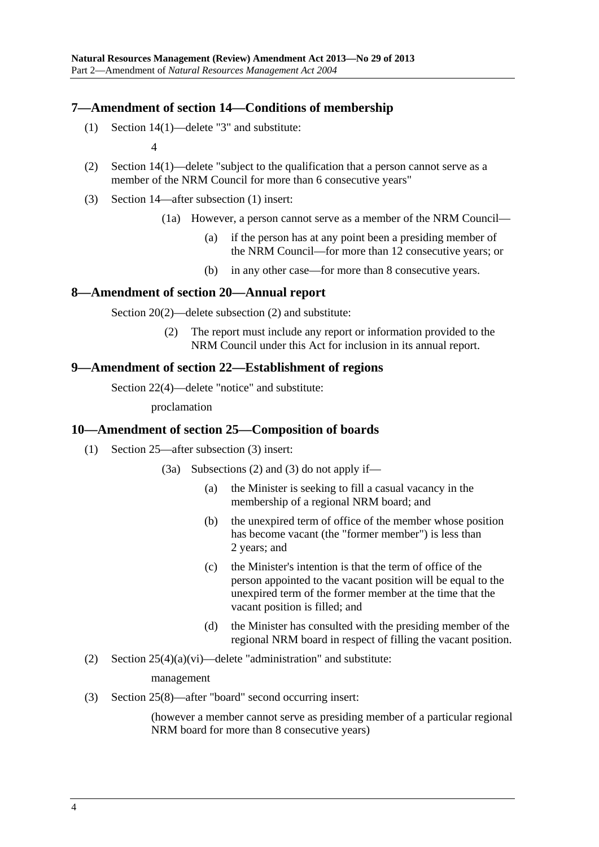## <span id="page-3-0"></span>**7—Amendment of section 14—Conditions of membership**

(1) Section 14(1)—delete "3" and substitute:

4

- (2) Section 14(1)—delete "subject to the qualification that a person cannot serve as a member of the NRM Council for more than 6 consecutive years"
- (3) Section 14—after subsection (1) insert:
	- (1a) However, a person cannot serve as a member of the NRM Council—
		- (a) if the person has at any point been a presiding member of the NRM Council—for more than 12 consecutive years; or
		- (b) in any other case—for more than 8 consecutive years.

#### **8—Amendment of section 20—Annual report**

Section 20(2)—delete subsection (2) and substitute:

 (2) The report must include any report or information provided to the NRM Council under this Act for inclusion in its annual report.

#### **9—Amendment of section 22—Establishment of regions**

Section 22(4)—delete "notice" and substitute:

proclamation

## **10—Amendment of section 25—Composition of boards**

- (1) Section 25—after subsection (3) insert:
	- (3a) Subsections (2) and (3) do not apply if—
		- (a) the Minister is seeking to fill a casual vacancy in the membership of a regional NRM board; and
		- (b) the unexpired term of office of the member whose position has become vacant (the "former member") is less than 2 years; and
		- (c) the Minister's intention is that the term of office of the person appointed to the vacant position will be equal to the unexpired term of the former member at the time that the vacant position is filled; and
		- (d) the Minister has consulted with the presiding member of the regional NRM board in respect of filling the vacant position.
- (2) Section  $25(4)(a)(vi)$ —delete "administration" and substitute:

management

(3) Section 25(8)—after "board" second occurring insert:

(however a member cannot serve as presiding member of a particular regional NRM board for more than 8 consecutive years)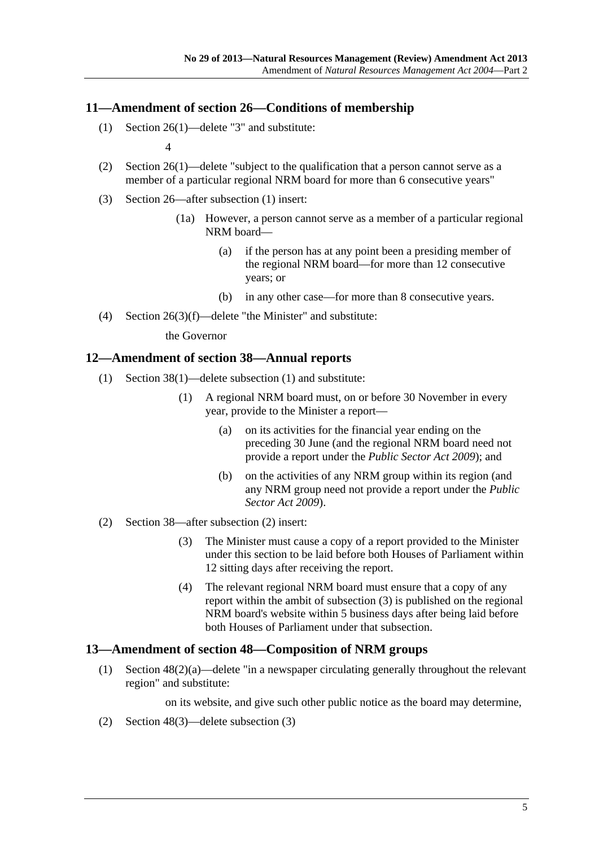## <span id="page-4-0"></span>**11—Amendment of section 26—Conditions of membership**

(1) Section 26(1)—delete "3" and substitute:

4

- (2) Section 26(1)—delete "subject to the qualification that a person cannot serve as a member of a particular regional NRM board for more than 6 consecutive years"
- (3) Section 26—after subsection (1) insert:
	- (1a) However, a person cannot serve as a member of a particular regional NRM board—
		- (a) if the person has at any point been a presiding member of the regional NRM board—for more than 12 consecutive years; or
		- (b) in any other case—for more than 8 consecutive years.
- (4) Section 26(3)(f)—delete "the Minister" and substitute:

the Governor

#### **12—Amendment of section 38—Annual reports**

- (1) Section 38(1)—delete subsection (1) and substitute:
	- (1) A regional NRM board must, on or before 30 November in every year, provide to the Minister a report—
		- (a) on its activities for the financial year ending on the preceding 30 June (and the regional NRM board need not provide a report under the *[Public Sector Act 2009](http://www.legislation.sa.gov.au/index.aspx?action=legref&type=act&legtitle=Public%20Sector%20Act%202009)*); and
		- (b) on the activities of any NRM group within its region (and any NRM group need not provide a report under the *[Public](http://www.legislation.sa.gov.au/index.aspx?action=legref&type=act&legtitle=Public%20Sector%20Act%202009)  [Sector Act 2009](http://www.legislation.sa.gov.au/index.aspx?action=legref&type=act&legtitle=Public%20Sector%20Act%202009)*).
- (2) Section 38—after subsection (2) insert:
	- (3) The Minister must cause a copy of a report provided to the Minister under this section to be laid before both Houses of Parliament within 12 sitting days after receiving the report.
	- (4) The relevant regional NRM board must ensure that a copy of any report within the ambit of [subsection \(3\)](#page-4-0) is published on the regional NRM board's website within 5 business days after being laid before both Houses of Parliament under that subsection.

#### **13—Amendment of section 48—Composition of NRM groups**

 (1) Section 48(2)(a)—delete "in a newspaper circulating generally throughout the relevant region" and substitute:

on its website, and give such other public notice as the board may determine,

(2) Section 48(3)—delete subsection (3)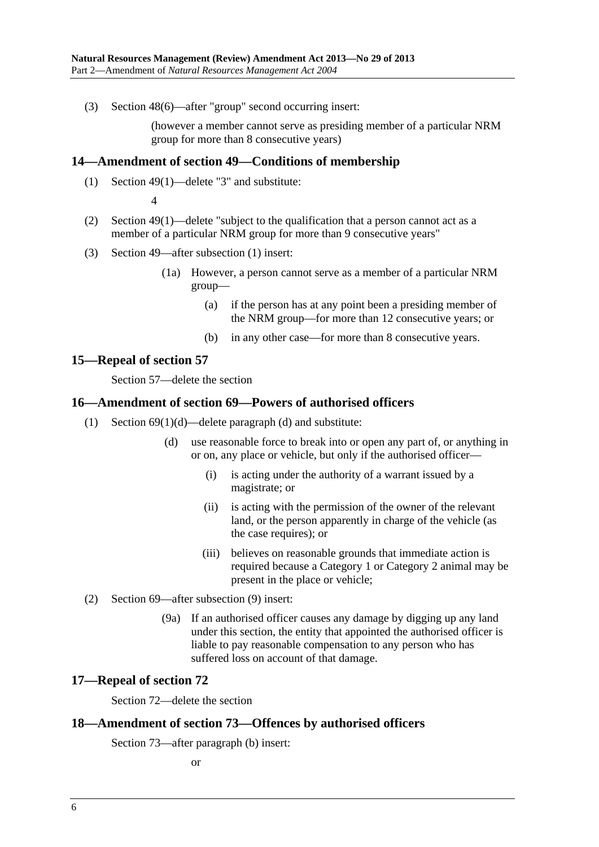<span id="page-5-0"></span>(3) Section 48(6)—after "group" second occurring insert:

(however a member cannot serve as presiding member of a particular NRM group for more than 8 consecutive years)

#### **14—Amendment of section 49—Conditions of membership**

(1) Section 49(1)—delete "3" and substitute:

4

- (2) Section 49(1)—delete "subject to the qualification that a person cannot act as a member of a particular NRM group for more than 9 consecutive years"
- (3) Section 49—after subsection (1) insert:
	- (1a) However, a person cannot serve as a member of a particular NRM group—
		- (a) if the person has at any point been a presiding member of the NRM group—for more than 12 consecutive years; or
		- (b) in any other case—for more than 8 consecutive years.

## **15—Repeal of section 57**

Section 57—delete the section

## **16—Amendment of section 69—Powers of authorised officers**

- (1) Section 69(1)(d)—delete paragraph (d) and substitute:
	- (d) use reasonable force to break into or open any part of, or anything in or on, any place or vehicle, but only if the authorised officer—
		- (i) is acting under the authority of a warrant issued by a magistrate; or
		- (ii) is acting with the permission of the owner of the relevant land, or the person apparently in charge of the vehicle (as the case requires); or
		- (iii) believes on reasonable grounds that immediate action is required because a Category 1 or Category 2 animal may be present in the place or vehicle;
- (2) Section 69—after subsection (9) insert:
	- (9a) If an authorised officer causes any damage by digging up any land under this section, the entity that appointed the authorised officer is liable to pay reasonable compensation to any person who has suffered loss on account of that damage.

#### **17—Repeal of section 72**

Section 72—delete the section

#### **18—Amendment of section 73—Offences by authorised officers**

Section 73—after paragraph (b) insert:

or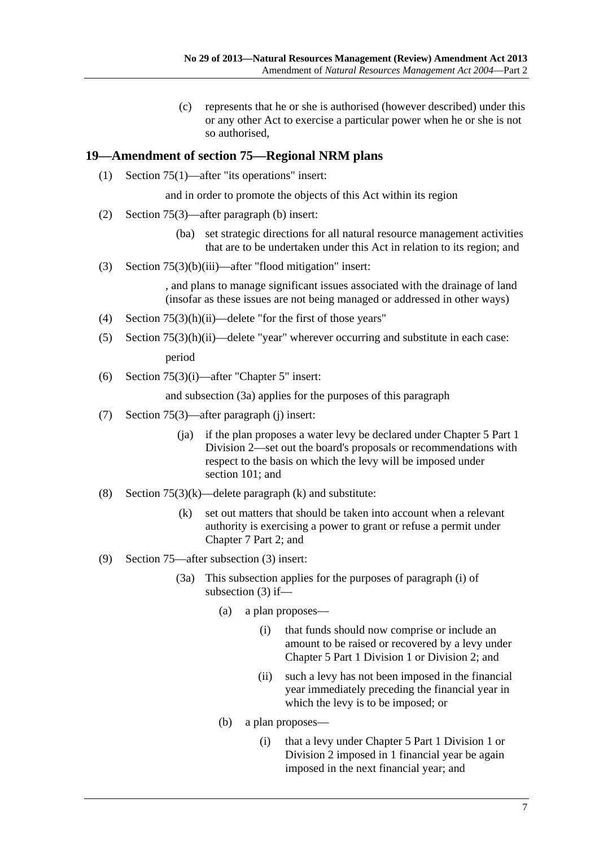(c) represents that he or she is authorised (however described) under this or any other Act to exercise a particular power when he or she is not so authorised,

## <span id="page-6-0"></span>**19—Amendment of section 75—Regional NRM plans**

(1) Section 75(1)—after "its operations" insert:

and in order to promote the objects of this Act within its region

- (2) Section 75(3)—after paragraph (b) insert:
	- (ba) set strategic directions for all natural resource management activities that are to be undertaken under this Act in relation to its region; and
- (3) Section 75(3)(b)(iii)—after "flood mitigation" insert:

, and plans to manage significant issues associated with the drainage of land (insofar as these issues are not being managed or addressed in other ways)

- (4) Section 75(3)(h)(ii)—delete "for the first of those years"
- (5) Section 75(3)(h)(ii)—delete "year" wherever occurring and substitute in each case: period
- (6) Section 75(3)(i)—after "Chapter 5" insert:

and subsection (3a) applies for the purposes of this paragraph

- (7) Section 75(3)—after paragraph (j) insert:
	- (ja) if the plan proposes a water levy be declared under Chapter 5 Part 1 Division 2—set out the board's proposals or recommendations with respect to the basis on which the levy will be imposed under section 101; and
- (8) Section  $75(3)(k)$ —delete paragraph (k) and substitute:
	- (k) set out matters that should be taken into account when a relevant authority is exercising a power to grant or refuse a permit under Chapter 7 Part 2; and
- (9) Section 75—after subsection (3) insert:
	- (3a) This subsection applies for the purposes of paragraph (i) of subsection (3) if—
		- (a) a plan proposes—
			- (i) that funds should now comprise or include an amount to be raised or recovered by a levy under Chapter 5 Part 1 Division 1 or Division 2; and
			- (ii) such a levy has not been imposed in the financial year immediately preceding the financial year in which the levy is to be imposed; or
		- (b) a plan proposes—
			- (i) that a levy under Chapter 5 Part 1 Division 1 or Division 2 imposed in 1 financial year be again imposed in the next financial year; and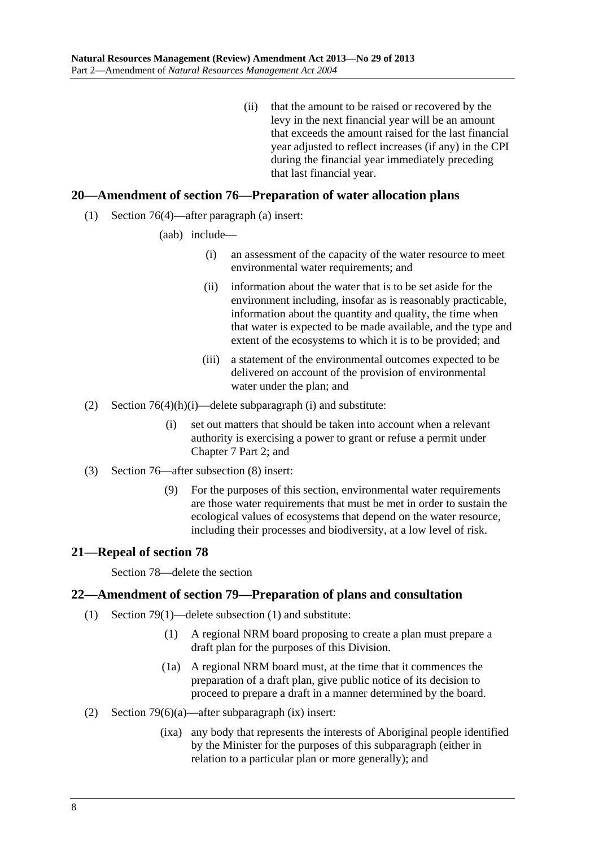(ii) that the amount to be raised or recovered by the levy in the next financial year will be an amount that exceeds the amount raised for the last financial year adjusted to reflect increases (if any) in the CPI during the financial year immediately preceding that last financial year.

## <span id="page-7-0"></span>**20—Amendment of section 76—Preparation of water allocation plans**

- (1) Section 76(4)—after paragraph (a) insert:
	- (aab) include—
		- (i) an assessment of the capacity of the water resource to meet environmental water requirements; and
		- (ii) information about the water that is to be set aside for the environment including, insofar as is reasonably practicable, information about the quantity and quality, the time when that water is expected to be made available, and the type and extent of the ecosystems to which it is to be provided; and
		- (iii) a statement of the environmental outcomes expected to be delivered on account of the provision of environmental water under the plan; and
- (2) Section  $76(4)(h)(i)$ —delete subparagraph (i) and substitute:
	- (i) set out matters that should be taken into account when a relevant authority is exercising a power to grant or refuse a permit under Chapter 7 Part 2; and
- (3) Section 76—after subsection (8) insert:
	- (9) For the purposes of this section, environmental water requirements are those water requirements that must be met in order to sustain the ecological values of ecosystems that depend on the water resource, including their processes and biodiversity, at a low level of risk.

#### **21—Repeal of section 78**

Section 78—delete the section

#### **22—Amendment of section 79—Preparation of plans and consultation**

- (1) Section 79(1)—delete subsection (1) and substitute:
	- (1) A regional NRM board proposing to create a plan must prepare a draft plan for the purposes of this Division.
	- (1a) A regional NRM board must, at the time that it commences the preparation of a draft plan, give public notice of its decision to proceed to prepare a draft in a manner determined by the board.
- (2) Section 79(6)(a)—after subparagraph (ix) insert:
	- (ixa) any body that represents the interests of Aboriginal people identified by the Minister for the purposes of this subparagraph (either in relation to a particular plan or more generally); and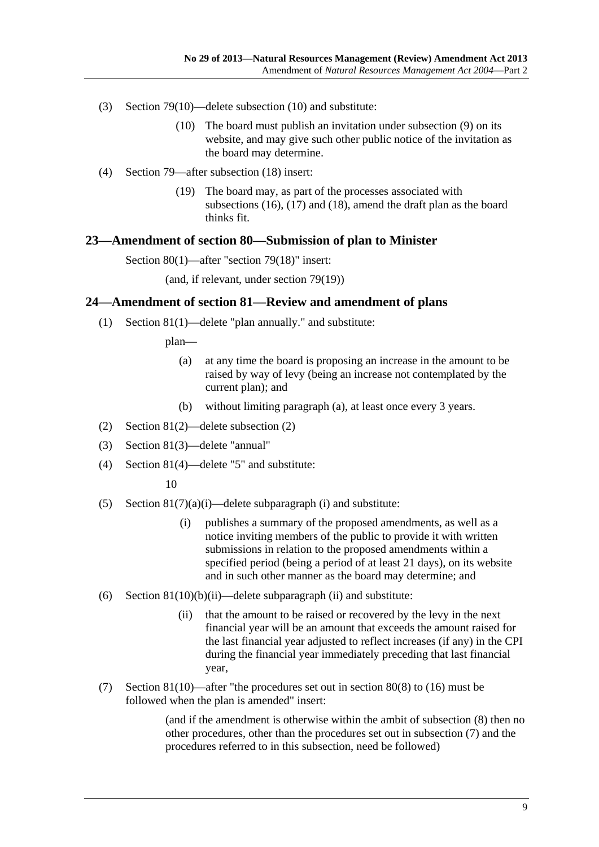- <span id="page-8-0"></span> (3) Section 79(10)—delete subsection (10) and substitute:
	- (10) The board must publish an invitation under subsection (9) on its website, and may give such other public notice of the invitation as the board may determine.
- (4) Section 79—after subsection (18) insert:
	- (19) The board may, as part of the processes associated with subsections (16), (17) and (18), amend the draft plan as the board thinks fit.

#### **23—Amendment of section 80—Submission of plan to Minister**

Section 80(1)—after "section 79(18)" insert:

(and, if relevant, under section 79(19))

#### **24—Amendment of section 81—Review and amendment of plans**

(1) Section 81(1)—delete "plan annually." and substitute:

plan—

- (a) at any time the board is proposing an increase in the amount to be raised by way of levy (being an increase not contemplated by the current plan); and
- (b) without limiting paragraph (a), at least once every 3 years.
- (2) Section 81(2)—delete subsection (2)
- (3) Section 81(3)—delete "annual"
- (4) Section 81(4)—delete "5" and substitute:

10

- (5) Section  $81(7)(a)(i)$ —delete subparagraph (i) and substitute:
	- (i) publishes a summary of the proposed amendments, as well as a notice inviting members of the public to provide it with written submissions in relation to the proposed amendments within a specified period (being a period of at least 21 days), on its website and in such other manner as the board may determine; and
- (6) Section  $81(10)(b)(ii)$ —delete subparagraph (ii) and substitute:
	- (ii) that the amount to be raised or recovered by the levy in the next financial year will be an amount that exceeds the amount raised for the last financial year adjusted to reflect increases (if any) in the CPI during the financial year immediately preceding that last financial year,
- (7) Section 81(10)—after "the procedures set out in section 80(8) to (16) must be followed when the plan is amended" insert:

(and if the amendment is otherwise within the ambit of subsection (8) then no other procedures, other than the procedures set out in subsection (7) and the procedures referred to in this subsection, need be followed)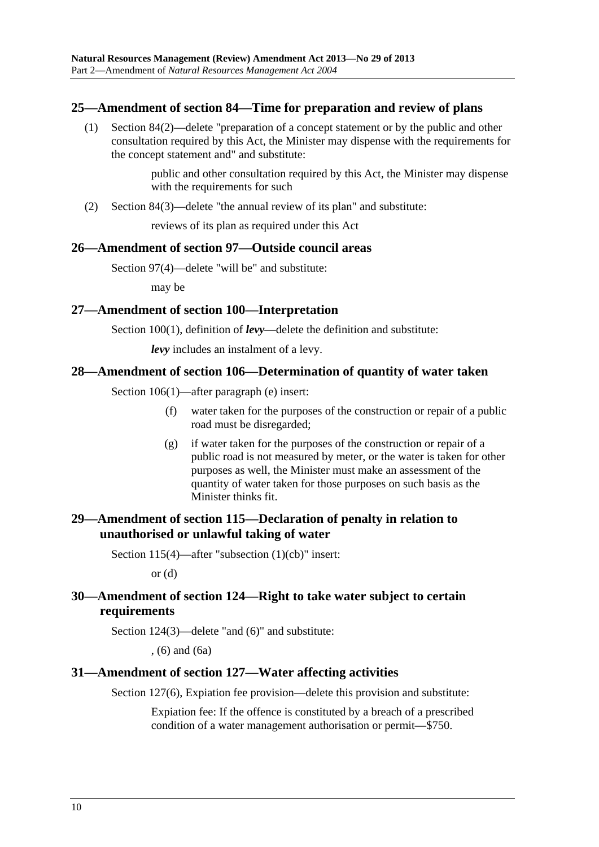## <span id="page-9-0"></span>**25—Amendment of section 84—Time for preparation and review of plans**

 (1) Section 84(2)—delete "preparation of a concept statement or by the public and other consultation required by this Act, the Minister may dispense with the requirements for the concept statement and" and substitute:

> public and other consultation required by this Act, the Minister may dispense with the requirements for such

(2) Section 84(3)—delete "the annual review of its plan" and substitute:

reviews of its plan as required under this Act

## **26—Amendment of section 97—Outside council areas**

Section 97(4)—delete "will be" and substitute:

may be

## **27—Amendment of section 100—Interpretation**

Section 100(1), definition of *levy*—delete the definition and substitute:

*levy* includes an instalment of a levy.

## **28—Amendment of section 106—Determination of quantity of water taken**

Section 106(1)—after paragraph (e) insert:

- (f) water taken for the purposes of the construction or repair of a public road must be disregarded;
- (g) if water taken for the purposes of the construction or repair of a public road is not measured by meter, or the water is taken for other purposes as well, the Minister must make an assessment of the quantity of water taken for those purposes on such basis as the Minister thinks fit.

## **29—Amendment of section 115—Declaration of penalty in relation to unauthorised or unlawful taking of water**

Section 115(4)—after "subsection (1)(cb)" insert:

or  $(d)$ 

## **30—Amendment of section 124—Right to take water subject to certain requirements**

Section 124(3)—delete "and (6)" and substitute:

, (6) and (6a)

## **31—Amendment of section 127—Water affecting activities**

Section 127(6), Expiation fee provision—delete this provision and substitute:

Expiation fee: If the offence is constituted by a breach of a prescribed condition of a water management authorisation or permit—\$750.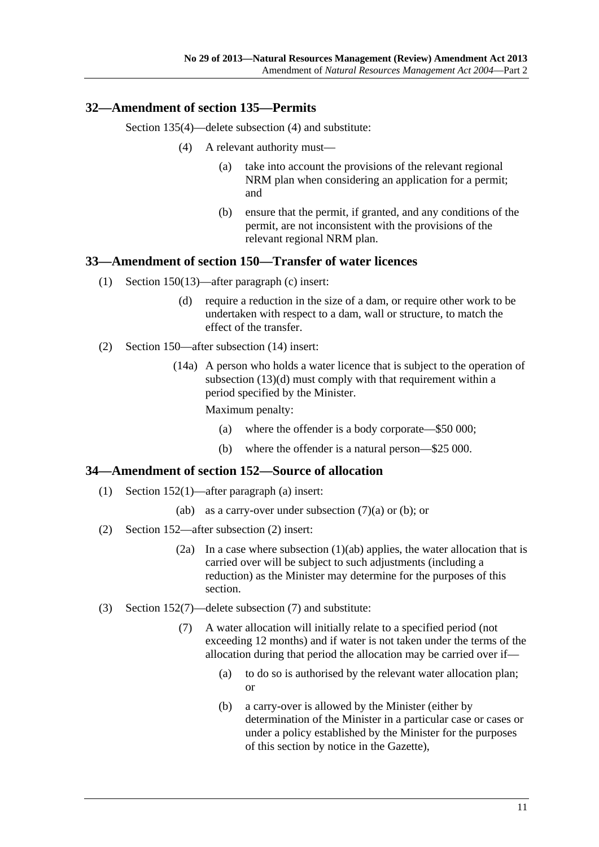## <span id="page-10-0"></span>**32—Amendment of section 135—Permits**

Section 135(4)—delete subsection (4) and substitute:

- (4) A relevant authority must—
	- (a) take into account the provisions of the relevant regional NRM plan when considering an application for a permit; and
	- (b) ensure that the permit, if granted, and any conditions of the permit, are not inconsistent with the provisions of the relevant regional NRM plan.

## **33—Amendment of section 150—Transfer of water licences**

- (1) Section 150(13)—after paragraph (c) insert:
	- (d) require a reduction in the size of a dam, or require other work to be undertaken with respect to a dam, wall or structure, to match the effect of the transfer.
- (2) Section 150—after subsection (14) insert:
	- (14a) A person who holds a water licence that is subject to the operation of subsection (13)(d) must comply with that requirement within a period specified by the Minister.

Maximum penalty:

- (a) where the offender is a body corporate—\$50 000;
- (b) where the offender is a natural person—\$25 000.

## **34—Amendment of section 152—Source of allocation**

- (1) Section 152(1)—after paragraph (a) insert:
	- (ab) as a carry-over under subsection  $(7)(a)$  or (b); or
- (2) Section 152—after subsection (2) insert:
	- (2a) In a case where subsection (1)(ab) applies, the water allocation that is carried over will be subject to such adjustments (including a reduction) as the Minister may determine for the purposes of this section.
- (3) Section 152(7)—delete subsection (7) and substitute:
	- (7) A water allocation will initially relate to a specified period (not exceeding 12 months) and if water is not taken under the terms of the allocation during that period the allocation may be carried over if—
		- (a) to do so is authorised by the relevant water allocation plan; or
		- (b) a carry-over is allowed by the Minister (either by determination of the Minister in a particular case or cases or under a policy established by the Minister for the purposes of this section by notice in the Gazette),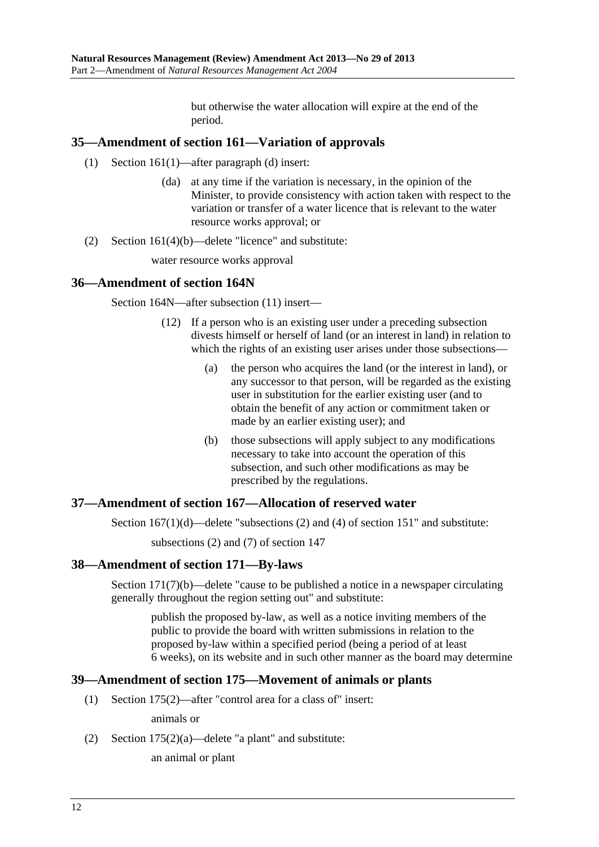but otherwise the water allocation will expire at the end of the period.

## <span id="page-11-0"></span>**35—Amendment of section 161—Variation of approvals**

- (1) Section 161(1)—after paragraph (d) insert:
	- (da) at any time if the variation is necessary, in the opinion of the Minister, to provide consistency with action taken with respect to the variation or transfer of a water licence that is relevant to the water resource works approval; or
- (2) Section 161(4)(b)—delete "licence" and substitute:

water resource works approval

## **36—Amendment of section 164N**

Section 164N—after subsection (11) insert—

- (12) If a person who is an existing user under a preceding subsection divests himself or herself of land (or an interest in land) in relation to which the rights of an existing user arises under those subsections—
	- (a) the person who acquires the land (or the interest in land), or any successor to that person, will be regarded as the existing user in substitution for the earlier existing user (and to obtain the benefit of any action or commitment taken or made by an earlier existing user); and
	- (b) those subsections will apply subject to any modifications necessary to take into account the operation of this subsection, and such other modifications as may be prescribed by the regulations.

## **37—Amendment of section 167—Allocation of reserved water**

Section  $167(1)(d)$ —delete "subsections (2) and (4) of section 151" and substitute:

subsections (2) and (7) of section 147

## **38—Amendment of section 171—By-laws**

Section 171(7)(b)—delete "cause to be published a notice in a newspaper circulating generally throughout the region setting out" and substitute:

publish the proposed by-law, as well as a notice inviting members of the public to provide the board with written submissions in relation to the proposed by-law within a specified period (being a period of at least 6 weeks), on its website and in such other manner as the board may determine

## **39—Amendment of section 175—Movement of animals or plants**

(1) Section 175(2)—after "control area for a class of" insert:

animals or

(2) Section  $175(2)(a)$ —delete "a plant" and substitute:

an animal or plant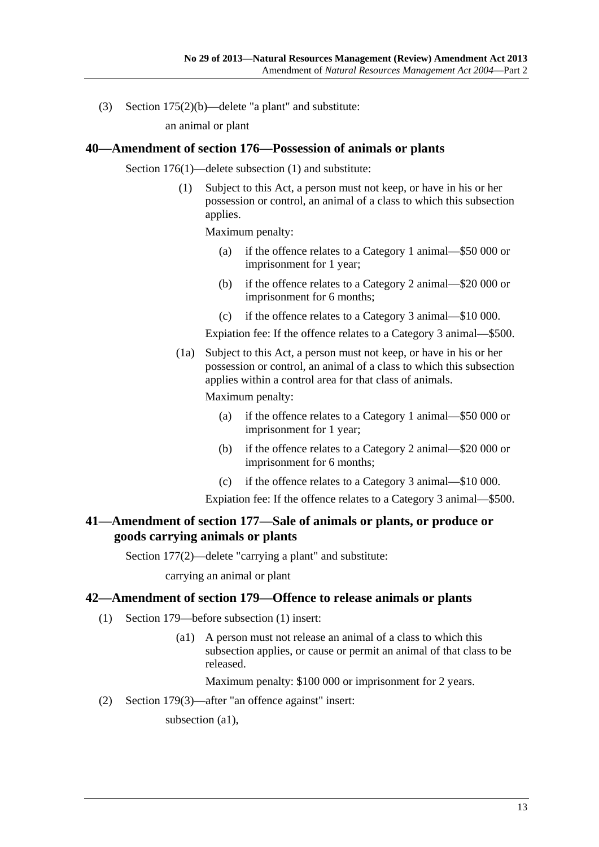<span id="page-12-0"></span>(3) Section 175(2)(b)—delete "a plant" and substitute:

an animal or plant

#### **40—Amendment of section 176—Possession of animals or plants**

Section 176(1)—delete subsection (1) and substitute:

 (1) Subject to this Act, a person must not keep, or have in his or her possession or control, an animal of a class to which this subsection applies.

Maximum penalty:

- (a) if the offence relates to a Category 1 animal—\$50 000 or imprisonment for 1 year;
- (b) if the offence relates to a Category 2 animal—\$20 000 or imprisonment for 6 months;
- (c) if the offence relates to a Category 3 animal—\$10 000.

Expiation fee: If the offence relates to a Category 3 animal—\$500.

 (1a) Subject to this Act, a person must not keep, or have in his or her possession or control, an animal of a class to which this subsection applies within a control area for that class of animals.

Maximum penalty:

- (a) if the offence relates to a Category 1 animal—\$50 000 or imprisonment for 1 year;
- (b) if the offence relates to a Category 2 animal—\$20 000 or imprisonment for 6 months;
- (c) if the offence relates to a Category 3 animal—\$10 000.

Expiation fee: If the offence relates to a Category 3 animal—\$500.

## **41—Amendment of section 177—Sale of animals or plants, or produce or goods carrying animals or plants**

Section 177(2)—delete "carrying a plant" and substitute:

carrying an animal or plant

#### **42—Amendment of section 179—Offence to release animals or plants**

- (1) Section 179—before subsection (1) insert:
	- (a1) A person must not release an animal of a class to which this subsection applies, or cause or permit an animal of that class to be released.

Maximum penalty: \$100 000 or imprisonment for 2 years.

(2) Section 179(3)—after "an offence against" insert:

subsection (a1),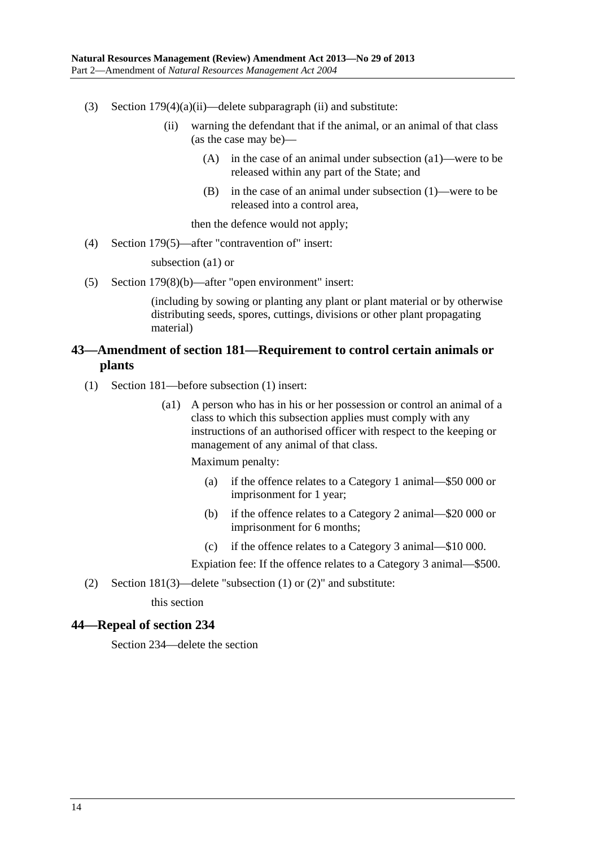- <span id="page-13-0"></span>(3) Section  $179(4)(a)(ii)$ —delete subparagraph (ii) and substitute:
	- (ii) warning the defendant that if the animal, or an animal of that class (as the case may be)—
		- (A) in the case of an animal under subsection (a1)—were to be released within any part of the State; and
		- (B) in the case of an animal under subsection (1)—were to be released into a control area,

then the defence would not apply;

(4) Section 179(5)—after "contravention of" insert:

subsection (a1) or

(5) Section 179(8)(b)—after "open environment" insert:

(including by sowing or planting any plant or plant material or by otherwise distributing seeds, spores, cuttings, divisions or other plant propagating material)

## **43—Amendment of section 181—Requirement to control certain animals or plants**

- (1) Section 181—before subsection (1) insert:
	- (a1) A person who has in his or her possession or control an animal of a class to which this subsection applies must comply with any instructions of an authorised officer with respect to the keeping or management of any animal of that class.

Maximum penalty:

- (a) if the offence relates to a Category 1 animal—\$50 000 or imprisonment for 1 year;
- (b) if the offence relates to a Category 2 animal—\$20 000 or imprisonment for 6 months;
- (c) if the offence relates to a Category 3 animal—\$10 000.

Expiation fee: If the offence relates to a Category 3 animal—\$500.

(2) Section 181(3)—delete "subsection (1) or (2)" and substitute:

this section

#### **44—Repeal of section 234**

Section 234—delete the section